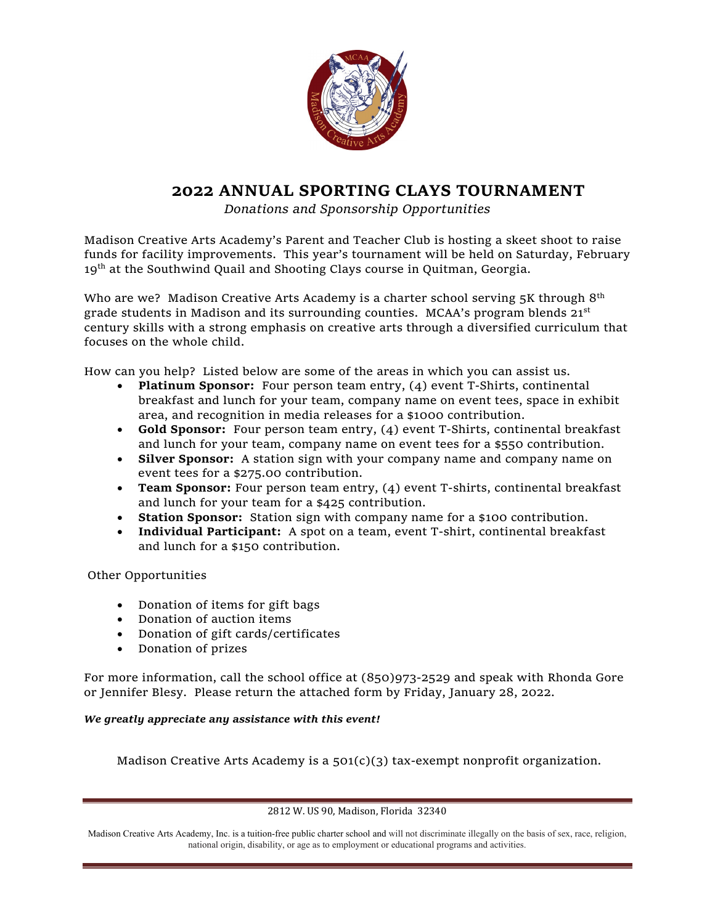

## **2022 ANNUAL SPORTING CLAYS TOURNAMENT**

*Donations and Sponsorship Opportunities*

Madison Creative Arts Academy's Parent and Teacher Club is hosting a skeet shoot to raise funds for facility improvements. This year's tournament will be held on Saturday, February 19<sup>th</sup> at the Southwind Quail and Shooting Clays course in Quitman, Georgia.

Who are we? Madison Creative Arts Academy is a charter school serving  $5K$  through  $8<sup>th</sup>$ grade students in Madison and its surrounding counties. MCAA's program blends  $21<sup>st</sup>$ century skills with a strong emphasis on creative arts through a diversified curriculum that focuses on the whole child.

How can you help? Listed below are some of the areas in which you can assist us.

- **Platinum Sponsor:** Four person team entry, (4) event T-Shirts, continental breakfast and lunch for your team, company name on event tees, space in exhibit area, and recognition in media releases for a \$1000 contribution.
- **Gold Sponsor:** Four person team entry, (4) event T-Shirts, continental breakfast and lunch for your team, company name on event tees for a \$550 contribution.
- **Silver Sponsor:** A station sign with your company name and company name on event tees for a \$275.00 contribution.
- **Team Sponsor:** Four person team entry, (4) event T-shirts, continental breakfast and lunch for your team for a \$425 contribution.
- **Station Sponsor:** Station sign with company name for a \$100 contribution.
- **Individual Participant:** A spot on a team, event T-shirt, continental breakfast and lunch for a \$150 contribution.

Other Opportunities

- Donation of items for gift bags
- Donation of auction items
- Donation of gift cards/certificates
- Donation of prizes

For more information, call the school office at (850)973-2529 and speak with Rhonda Gore or Jennifer Blesy. Please return the attached form by Friday, January 28, 2022.

## *We greatly appreciate any assistance with this event!*

Madison Creative Arts Academy is a 501(c)(3) tax-exempt nonprofit organization.

2812 W. US 90, Madison, Florida 32340

Madison Creative Arts Academy, Inc. is a tuition-free public charter school and will not discriminate illegally on the basis of sex, race, religion, national origin, disability, or age as to employment or educational programs and activities.